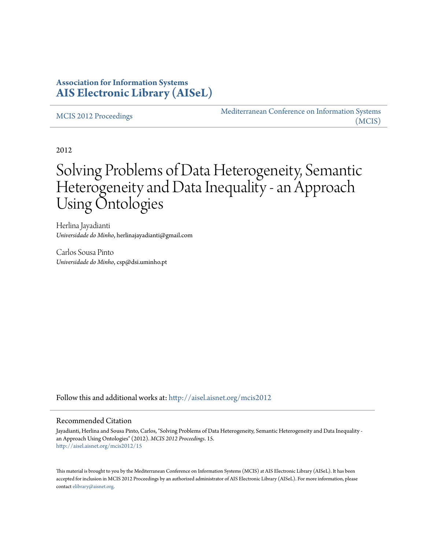## **Association for Information Systems [AIS Electronic Library \(AISeL\)](http://aisel.aisnet.org?utm_source=aisel.aisnet.org%2Fmcis2012%2F15&utm_medium=PDF&utm_campaign=PDFCoverPages)**

[MCIS 2012 Proceedings](http://aisel.aisnet.org/mcis2012?utm_source=aisel.aisnet.org%2Fmcis2012%2F15&utm_medium=PDF&utm_campaign=PDFCoverPages)

[Mediterranean Conference on Information Systems](http://aisel.aisnet.org/mcis?utm_source=aisel.aisnet.org%2Fmcis2012%2F15&utm_medium=PDF&utm_campaign=PDFCoverPages) [\(MCIS\)](http://aisel.aisnet.org/mcis?utm_source=aisel.aisnet.org%2Fmcis2012%2F15&utm_medium=PDF&utm_campaign=PDFCoverPages)

2012

# Solving Problems of Data Heterogeneity, Semantic Heterogeneity and Data Inequality - an Approach Using Ontologies

Herlina Jayadianti *Universidade do Minho*, herlinajayadianti@gmail.com

Carlos Sousa Pinto *Universidade do Minho*, csp@dsi.uminho.pt

Follow this and additional works at: [http://aisel.aisnet.org/mcis2012](http://aisel.aisnet.org/mcis2012?utm_source=aisel.aisnet.org%2Fmcis2012%2F15&utm_medium=PDF&utm_campaign=PDFCoverPages)

#### Recommended Citation

Jayadianti, Herlina and Sousa Pinto, Carlos, "Solving Problems of Data Heterogeneity, Semantic Heterogeneity and Data Inequality an Approach Using Ontologies" (2012). *MCIS 2012 Proceedings*. 15. [http://aisel.aisnet.org/mcis2012/15](http://aisel.aisnet.org/mcis2012/15?utm_source=aisel.aisnet.org%2Fmcis2012%2F15&utm_medium=PDF&utm_campaign=PDFCoverPages)

This material is brought to you by the Mediterranean Conference on Information Systems (MCIS) at AIS Electronic Library (AISeL). It has been accepted for inclusion in MCIS 2012 Proceedings by an authorized administrator of AIS Electronic Library (AISeL). For more information, please contact [elibrary@aisnet.org.](mailto:elibrary@aisnet.org%3E)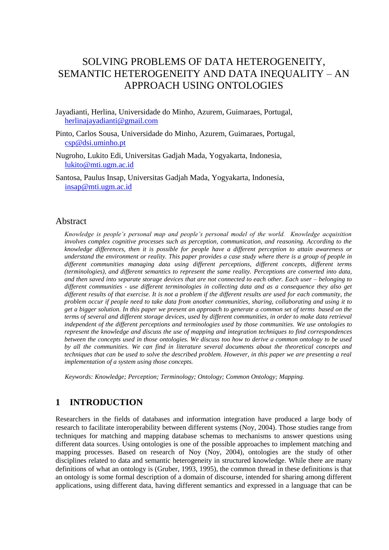## SOLVING PROBLEMS OF DATA HETEROGENEITY, SEMANTIC HETEROGENEITY AND DATA INEQUALITY – AN APPROACH USING ONTOLOGIES

Jayadianti, Herlina, Universidade do Minho, Azurem, Guimaraes, Portugal, [herlinajayadianti@gmail.com](mailto:herlinajayadianti@gmail.com)

- Pinto, Carlos Sousa, Universidade do Minho, Azurem, Guimaraes, Portugal, [csp@dsi.uminho.pt](mailto:csp@dsi.uminho.pt)
- Nugroho, Lukito Edi, Universitas Gadjah Mada, Yogyakarta, Indonesia, [lukito@mti.ugm.ac.id](mailto:lukito@mti.ugm.ac.id)
- Santosa, Paulus Insap, Universitas Gadjah Mada, Yogyakarta, Indonesia, [insap@mti.ugm.ac.id](mailto:insap@mti.ugm.ac.id)

### Abstract

*Knowledge is people's personal map and people's personal model of the world. Knowledge acquisition involves complex cognitive processes such as perception, communication, and reasoning. According to the knowledge differences, then it is possible for people have a different perception to attain awareness or understand the environment or reality. This paper provides a case study where there is a group of people in different communities managing data using different perceptions, different concepts, different terms (terminologies), and different semantics to represent the same reality. Perceptions are converted into data, and then saved into separate storage devices that are not connected to each other. Each user – belonging to different communities - use different terminologies in collecting data and as a consequence they also get different results of that exercise. It is not a problem if the different results are used for each community, the problem occur if people need to take data from another communities, sharing, collaborating and using it to get a bigger solution. In this paper we present an approach to generate a common set of terms based on the terms of several and different storage devices, used by different communities, in order to make data retrieval independent of the different perceptions and terminologies used by those communities. We use ontologies to represent the knowledge and discuss the use of mapping and integration techniques to find correspondences between the concepts used in those ontologies. We discuss too how to derive a common ontology to be used by all the communities. We can find in literature several documents about the theoretical concepts and techniques that can be used to solve the described problem. However, in this paper we are presenting a real implementation of a system using those concepts.*

*Keywords: Knowledge; Perception; Terminology; Ontology; Common Ontology; Mapping.*

## **1 INTRODUCTION**

Researchers in the fields of databases and information integration have produced a large body of research to facilitate interoperability between different systems (Noy, 2004). Those studies range from techniques for matching and mapping database schemas to mechanisms to answer questions using different data sources. Using ontologies is one of the possible approaches to implement matching and mapping processes. Based on research of Noy (Noy, 2004), ontologies are the study of other disciplines related to data and semantic heterogeneity in structured knowledge. While there are many definitions of what an ontology is (Gruber, 1993, 1995), the common thread in these definitions is that an ontology is some formal description of a domain of discourse, intended for sharing among different applications, using different data, having different semantics and expressed in a language that can be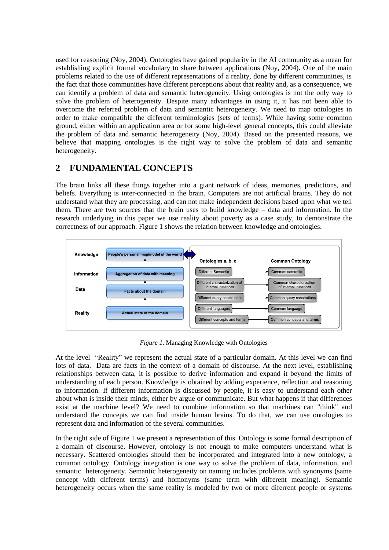used for reasoning (Noy, 2004). Ontologies have gained popularity in the AI community as a mean for establishing explicit formal vocabulary to share between applications (Noy, 2004). One of the main problems related to the use of different representations of a reality, done by different communities, is the fact that those communities have different perceptions about that reality and, as a consequence, we can identify a problem of data and semantic heterogeneity. Using ontologies is not the only way to solve the problem of heterogeneity. Despite many advantages in using it, it has not been able to overcome the referred problem of data and semantic heterogeneity. We need to map ontologies in order to make compatible the different terminologies (sets of terms). While having some common ground, either within an application area or for some high-level general concepts, this could alleviate the problem of data and semantic heterogeneity (Noy, 2004). Based on the presented reasons, we believe that mapping ontologies is the right way to solve the problem of data and semantic heterogeneity.

## **2 FUNDAMENTAL CONCEPTS**

The brain links all these things together into a giant network of ideas, memories, predictions, and beliefs. Everything is inter-connected in the brain. Computers are not artificial brains. They do not understand what they are processing, and can not make independent decisions based upon what we tell them. There are two sources that the brain uses to build knowledge – data and information. In the research underlying in this paper we use reality about poverty as a case study, to demonstrate the correctness of our approach. Figure 1 shows the relation between knowledge and ontologies.



*Figure 1*. Managing Knowledge with Ontologies

At the level "Reality" we represent the actual state of a particular domain. At this level we can find lots of data. Data are facts in the context of a domain of discourse. At the next level, establishing relationships between data, it is possible to derive information and expand it beyond the limits of understanding of each person. Knowledge is obtained by adding experience, reflection and reasoning to information. If different information is discussed by people, it is easy to understand each other about what is inside their minds, either by argue or communicate. But what happens if that differences exist at the machine level? We need to combine information so that machines can "think" and understand the concepts we can find inside human brains. To do that, we can use ontologies to represent data and information of the several communities.

In the right side of Figure 1 we present a representation of this. Ontology is some formal description of a domain of discourse. However, ontology is not enough to make computers understand what is necessary. Scattered ontologies should then be incorporated and integrated into a new ontology, a common ontology. Ontology integration is one way to solve the problem of data, information, and semantic heterogeneity. Semantic heterogeneity on naming includes problems with synonyms (same concept with different terms) and homonyms (same term with different meaning). Semantic heterogeneity occurs when the same reality is modeled by two or more diferrent people or systems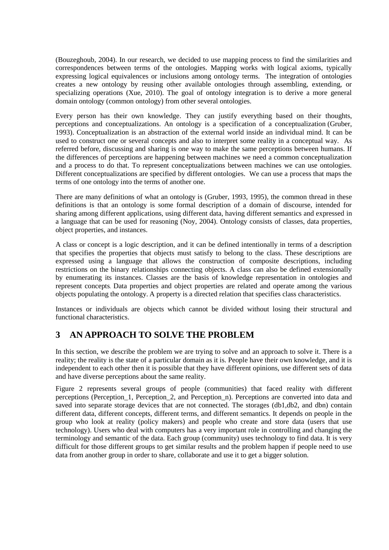(Bouzeghoub, 2004). In our research, we decided to use mapping process to find the similarities and correspondences between terms of the ontologies. Mapping works with logical axioms, typically expressing logical equivalences or inclusions among ontology terms. The integration of ontologies creates a new ontology by reusing other available ontologies through assembling, extending, or specializing operations (Xue, 2010). The goal of ontology integration is to derive a more general domain ontology (common ontology) from other several ontologies.

Every person has their own knowledge. They can justify everything based on their thoughts, perceptions and conceptualizations. An ontology is a specification of a conceptualization (Gruber, 1993). Conceptualization is an abstraction of the external world inside an individual mind. It can be used to construct one or several concepts and also to interpret some reality in a conceptual way. As referred before, discussing and sharing is one way to make the same perceptions between humans. If the differences of perceptions are happening between machines we need a common conceptualization and a process to do that. To represent conceptualizations between machines we can use ontologies. Different conceptualizations are specified by different ontologies. We can use a process that maps the terms of one ontology into the terms of another one.

There are many definitions of what an ontology is (Gruber, 1993, 1995), the common thread in these definitions is that an ontology is some formal description of a domain of discourse, intended for sharing among different applications, using different data, having different semantics and expressed in a language that can be used for reasoning (Noy, 2004). Ontology consists of classes, data properties, object properties, and instances.

A class or concept is a logic description, and it can be defined intentionally in terms of a description that specifies the properties that objects must satisfy to belong to the class. These descriptions are expressed using a language that allows the construction of composite descriptions, including restrictions on the binary relationships connecting objects. A class can also be defined extensionally by enumerating its instances. Classes are the basis of knowledge representation in ontologies and represent concepts. Data properties and object properties are related and operate among the various objects populating the ontology. A property is a directed relation that specifies class characteristics.

Instances or individuals are objects which cannot be divided without losing their structural and functional characteristics.

## **3 AN APPROACH TO SOLVE THE PROBLEM**

In this section, we describe the problem we are trying to solve and an approach to solve it. There is a reality; the reality is the state of a particular domain as it is. People have their own knowledge, and it is independent to each other then it is possible that they have different opinions, use different sets of data and have diverse perceptions about the same reality.

Figure 2 represents several groups of people (communities) that faced reality with different perceptions (Perception\_1, Perception\_2, and Perception\_n). Perceptions are converted into data and saved into separate storage devices that are not connected. The storages (db1,db2, and dbn) contain different data, different concepts, different terms, and different semantics. It depends on people in the group who look at reality (policy makers) and people who create and store data (users that use technology). Users who deal with computers has a very important role in controlling and changing the terminology and semantic of the data. Each group (community) uses technology to find data. It is very difficult for those different groups to get similar results and the problem happen if people need to use data from another group in order to share, collaborate and use it to get a bigger solution.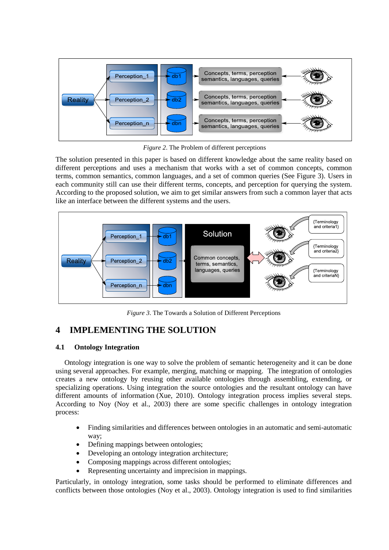

*Figure 2*. The Problem of different perceptions

The solution presented in this paper is based on different knowledge about the same reality based on different perceptions and uses a mechanism that works with a set of common concepts, common terms, common semantics, common languages, and a set of common queries (See Figure 3). Users in each community still can use their different terms, concepts, and perception for querying the system. According to the proposed solution, we aim to get similar answers from such a common layer that acts like an interface between the different systems and the users.



*Figure 3*. The Towards a Solution of Different Perceptions

## **4 IMPLEMENTING THE SOLUTION**

## **4.1 Ontology Integration**

Ontology integration is one way to solve the problem of semantic heterogeneity and it can be done using several approaches. For example, merging, matching or mapping. The integration of ontologies creates a new ontology by reusing other available ontologies through assembling, extending, or specializing operations. Using integration the source ontologies and the resultant ontology can have different amounts of information (Xue, 2010). Ontology integration process implies several steps. According to Noy (Noy et al., 2003) there are some specific challenges in ontology integration process:

- Finding similarities and differences between ontologies in an automatic and semi-automatic way;
- Defining mappings between ontologies;
- Developing an ontology integration architecture;
- Composing mappings across different ontologies;
- Representing uncertainty and imprecision in mappings.

Particularly, in ontology integration, some tasks should be performed to eliminate differences and conflicts between those ontologies (Noy et al., 2003). Ontology integration is used to find similarities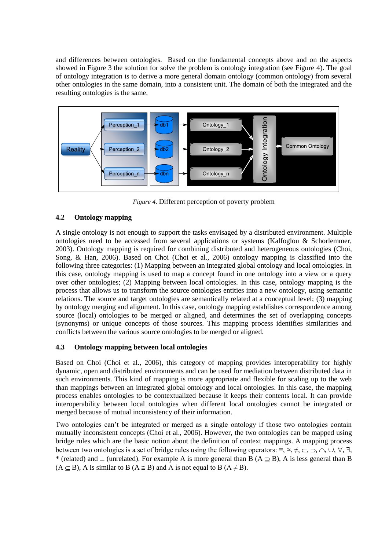and differences between ontologies. Based on the fundamental concepts above and on the aspects showed in Figure 3 the solution for solve the problem is ontology integration (see Figure 4). The goal of ontology integration is to derive a more general domain ontology (common ontology) from several other ontologies in the same domain, into a consistent unit. The domain of both the integrated and the resulting ontologies is the same.



*Figure 4*. Different perception of poverty problem

## **4.2 Ontology mapping**

A single ontology is not enough to support the tasks envisaged by a distributed environment. Multiple ontologies need to be accessed from several applications or systems (Kalfoglou  $\&$  Schorlemmer, 2003). Ontology mapping is required for combining distributed and heterogeneous ontologies (Choi, Song, & Han, 2006). Based on Choi (Choi et al., 2006) ontology mapping is classified into the following three categories: (1) Mapping between an integrated global ontology and local ontologies. In this case, ontology mapping is used to map a concept found in one ontology into a view or a query over other ontologies; (2) Mapping between local ontologies. In this case, ontology mapping is the process that allows us to transform the source ontologies entities into a new ontology, using semantic relations. The source and target ontologies are semantically related at a conceptual level; (3) mapping by ontology merging and alignment. In this case, ontology mapping establishes correspondence among source (local) ontologies to be merged or aligned, and determines the set of overlapping concepts (synonyms) or unique concepts of those sources. This mapping process identifies similarities and conflicts between the various source ontologies to be merged or aligned.

## **4.3 Ontology mapping between local ontologies**

Based on Choi (Choi et al., 2006), this category of mapping provides interoperability for highly dynamic, open and distributed environments and can be used for mediation between distributed data in such environments. This kind of mapping is more appropriate and flexible for scaling up to the web than mappings between an integrated global ontology and local ontologies. In this case, the mapping process enables ontologies to be contextualized because it keeps their contents local. It can provide interoperability between local ontologies when different local ontologies cannot be integrated or merged because of mutual inconsistency of their information.

Two ontologies can't be integrated or merged as a single ontology if those two ontologies contain mutually inconsistent concepts (Choi et al., 2006). However, the two ontologies can be mapped using bridge rules which are the basic notion about the definition of context mappings. A mapping process between two ontologies is a set of bridge rules using the following operators:  $\equiv$ ,  $\equiv$ ,  $\neq$ ,  $\subseteq$ ,  $\supset$ ,  $\sim$ ,  $\forall$ ,  $\exists$ , \* (related) and  $\perp$  (unrelated). For example A is more general than B (A  $\supseteq$  B), A is less general than B  $(A \subseteq B)$ , A is similar to B  $(A \cong B)$  and A is not equal to B  $(A \neq B)$ .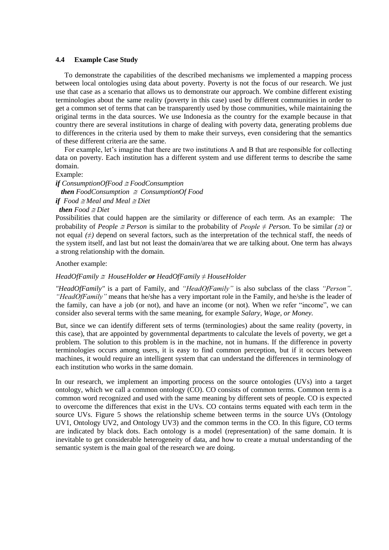#### **4.4 Example Case Study**

To demonstrate the capabilities of the described mechanisms we implemented a mapping process between local ontologies using data about poverty. Poverty is not the focus of our research. We just use that case as a scenario that allows us to demonstrate our approach. We combine different existing terminologies about the same reality (poverty in this case) used by different communities in order to get a common set of terms that can be transparently used by those communities, while maintaining the original terms in the data sources. We use Indonesia as the country for the example because in that country there are several institutions in charge of dealing with poverty data, generating problems due to differences in the criteria used by them to make their surveys, even considering that the semantics of these different criteria are the same.

For example, let's imagine that there are two institutions A and B that are responsible for collecting data on poverty. Each institution has a different system and use different terms to describe the same domain.

Example:

*if ConsumptionOfFood FoodConsumption then*  $FoodConsumption \cong ConsumptionOfFood$ *if*  $Food \cong$  *Meal and Meal*  $\cong$  *Diet* 

*then*  $Food \cong Diet$ 

Possibilities that could happen are the similarity or difference of each term. As an example: The probability of *People*  $\cong$  *Person* is similar to the probability of *People*  $\neq$  *Person*. To be similar  $(\cong)$  or not equal *(≠)* depend on several factors, such as the interpretation of the technical staff, the needs of the system itself, and last but not least the domain/area that we are talking about. One term has always a strong relationship with the domain.

Another example:

*HeadOfFamily HouseHolder or HeadOfFamily* ≠ *HouseHolder*

*"HeadOfFamily"* is a part of Family, and *"HeadOfFamily"* is also subclass of the class *"Person"*. *"HeadOfFamily"* means that he/she has a very important role in the Family, and he/she is the leader of the family, can have a job (or not), and have an income (or not). When we refer "income", we can consider also several terms with the same meaning, for example *Salary, Wage, or Money.*

But, since we can identify different sets of terms (terminologies) about the same reality (poverty, in this case), that are appointed by governmental departments to calculate the levels of poverty, we get a problem. The solution to this problem is in the machine, not in humans. If the difference in poverty terminologies occurs among users, it is easy to find common perception, but if it occurs between machines, it would require an intelligent system that can understand the differences in terminology of each institution who works in the same domain.

In our research, we implement an importing process on the source ontologies (UVs) into a target ontology, which we call a common ontology (CO). CO consists of common terms. Common term is a common word recognized and used with the same meaning by different sets of people. CO is expected to overcome the differences that exist in the UVs. CO contains terms equated with each term in the source UVs. Figure 5 shows the relationship scheme between terms in the source UVs (Ontology UV1, Ontology UV2, and Ontology UV3) and the common terms in the CO. In this figure, CO terms are indicated by black dots. Each ontology is a model (representation) of the same domain. It is inevitable to get considerable heterogeneity of data, and how to create a mutual understanding of the semantic system is the main goal of the research we are doing.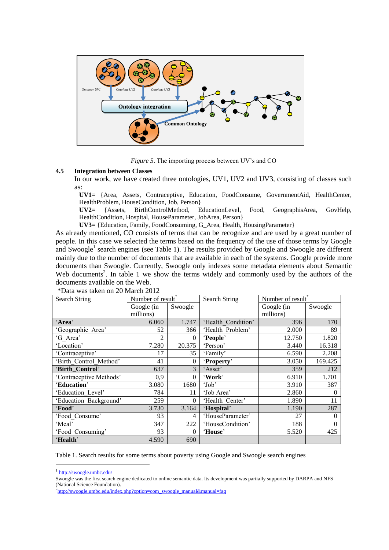

*Figure 5*. The importing process between UV's and CO

#### **4.5 Integration between Classes**

In our work, we have created three ontologies, UV1, UV2 and UV3, consisting of classes such as:

**UV1=** {Area, Assets, Contraceptive, Education, FoodConsume, GovernmentAid, HealthCenter, HealthProblem, HouseCondition, Job, Person}

**UV2=** {Assets, BirthControlMethod, EducationLevel, Food, GeographisArea, GovHelp, HealthCondition, Hospital, HouseParameter, JobArea, Person}

**UV3=** {Education, Family, FoodConsuming, G\_Area, Health, HousingParameter}

As already mentioned, CO consists of terms that can be recognize and are used by a great number of people. In this case we selected the terms based on the frequency of the use of those terms by Google and Swoogle<sup>1</sup> search engines (see Table 1). The results provided by Google and Swoogle are different mainly due to the number of documents that are available in each of the systems. Google provide more documents than Swoogle. Currently, Swoogle only indexes some metadata elements about Semantic Web documents<sup>2</sup>. In table 1 we show the terms widely and commonly used by the authors of the documents available on the Web.

| <b>Search String</b>    | Number of result <sup>®</sup> |              | Search String      | Number of result® |         |
|-------------------------|-------------------------------|--------------|--------------------|-------------------|---------|
|                         | Google (in                    | Swoogle      |                    | Google (in        | Swoogle |
|                         | millions)                     |              |                    | millions)         |         |
| 'Area'                  | 6.060                         | 1.747        | 'Health Condition' | 396               | 170     |
| 'Geographic Area'       | 52                            | 366          | 'Health Problem'   | 2.000             | 89      |
| 'G Area'                | 2                             | $\theta$     | 'People'           | 12.750            | 1.820   |
| 'Location'              | 7.280                         | 20.375       | 'Person'           | 3.440             | 16.318  |
| 'Contraceptive'         | 17                            | 35           | 'Family'           | 6.590             | 2.208   |
| 'Birth Control Method'  | 41                            | $\mathbf{0}$ | 'Property'         | 3.050             | 169.425 |
| 'Birth Control'         | 637                           | 3            | 'Asset'            | 359               | 212     |
| 'Contraceptive Methods' | 0,9                           | 0            | 'Work'             | 6.910             | 1.701   |
| 'Education'             | 3.080                         | 1680         | 'Job'              | 3.910             | 387     |
| 'Education Level'       | 784                           | 11           | 'Job Area'         | 2.860             | 0       |
| 'Education Background'  | 259                           | $\theta$     | 'Health Center'    | 1.890             | 11      |
| 'Food'                  | 3.730                         | 3.164        | 'Hospital'         | 1.190             | 287     |
| 'Food Consume'          | 93                            | 4            | 'HouseParameter'   | 27                | 0       |
| 'Meal'                  | 347                           | 222          | 'HouseCondition'   | 188               | 0       |
| 'Food Consuming'        | 93                            | $\theta$     | 'House'            | 5.520             | 425     |
| 'Health'                | 4.590                         | 690          |                    |                   |         |

\*Data was taken on 20 March 2012

Table 1. Search results for some terms about poverty using Google and Swoogle search engines

 $\overline{a}$ 

<sup>&</sup>lt;sup>1</sup> <http://swoogle.umbc.edu/>

Swoogle was the first search engine dedicated to online semantic data. Its development was partially supported by DARPA and NFS (National Science Foundation).

<sup>&</sup>lt;sup>2</sup>[http://swoogle.umbc.edu/index.php?option=com\\_swoogle\\_manual&manual=faq](http://swoogle.umbc.edu/index.php?option=com_swoogle_manual&manual=faq)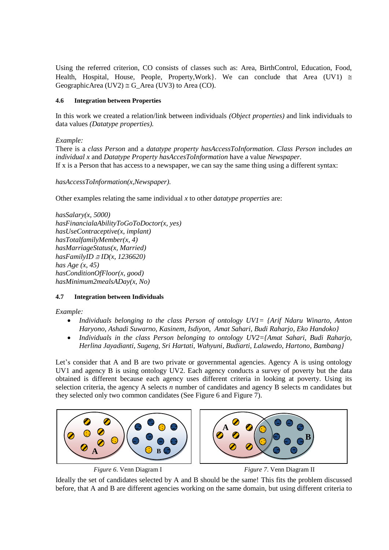Using the referred criterion, CO consists of classes such as: Area, BirthControl, Education, Food, Health, Hospital, House, People, Property, Work }. We can conclude that Area (UV1)  $\approx$ GeographicArea (UV2)  $\cong$  G Area (UV3) to Area (CO).

### **4.6 Integration between Properties**

In this work we created a relation/link between individuals *(Object properties)* and link individuals to data values *(Datatype properties).*

*Example:* 

There is a *class Person* and a *datatype property hasAccessToInformation. Class Person* includes *an individual x* and *Datatype Property hasAccesToInformation* have a value *Newspaper.* If x is a Person that has access to a newspaper, we can say the same thing using a different syntax:

*hasAccessToInformation(x,Newspaper).*

Other examples relating the same individual *x* to other d*atatype properties* are:

*hasSalary(x, 5000) hasFinancialaAbilityToGoToDoctor(x, yes) hasUseContraceptive(x, implant) hasTotalfamilyMember(x, 4) hasMarriageStatus(x, Married)*  $hasFamilyID \cong ID(x, 1236620)$ *has Age (x, 45) hasConditionOfFloor(x, good) hasMinimum2mealsADay(x, No)*

## **4.7 Integration between Individuals**

*Example:*

- *Individuals belonging to the class Person of ontology UV1= {Arif Ndaru Winarto, Anton Haryono, Ashadi Suwarno, Kasinem, Isdiyon, Amat Sahari, Budi Raharjo, Eko Handoko}*
- *Individuals in the class Person belonging to ontology UV2={Amat Sahari, Budi Raharjo, Herlina Jayadianti, Sugeng, Sri Hartati, Wahyuni, Budiarti, Lalawedo, Hartono*, *Bambang}*

Let's consider that A and B are two private or governmental agencies. Agency A is using ontology UV1 and agency B is using ontology UV2. Each agency conducts a survey of poverty but the data obtained is different because each agency uses different criteria in looking at poverty. Using its selection criteria, the agency A selects *n* number of candidates and agency B selects m candidates but they selected only two common candidates (See Figure 6 and Figure 7).



*Figure 6*. Venn Diagram I *Figure 7*. Venn Diagram II

Ideally the set of candidates selected by A and B should be the same! This fits the problem discussed before, that A and B are different agencies working on the same domain, but using different criteria to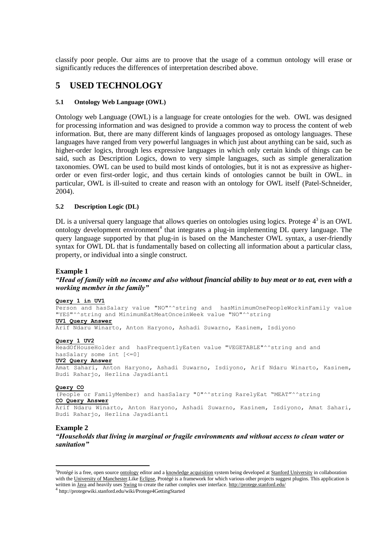classify poor people. Our aims are to proove that the usage of a commun ontology will erase or significantly reduces the differences of interpretation described above.

## **5 USED TECHNOLOGY**

#### **5.1 Ontology Web Language (OWL)**

Ontology web Language (OWL) is a language for create ontologies for the web. OWL was designed for processing information and was designed to provide a common way to process the content of web information. But, there are many different kinds of languages proposed as ontology languages. These languages have ranged from very powerful languages in which just about anything can be said, such as higher-order logics, through less expressive languages in which only certain kinds of things can be said, such as Description Logics, down to very simple languages, such as simple generalization taxonomies. OWL can be used to build most kinds of ontologies, but it is not as expressive as higherorder or even first-order logic, and thus certain kinds of ontologies cannot be built in OWL. in particular, OWL is ill-suited to create and reason with an ontology for OWL itself (Patel-Schneider, 2004).

### **5.2 Description Logic (DL)**

DL is a universal query language that allows queries on ontologies using logics. Protege  $4<sup>3</sup>$  is an OWL ontology development environment<sup>4</sup> that integrates a plug-in implementing DL query language. The query language supported by that plug-in is based on the Manchester OWL syntax, a user-friendly syntax for OWL DL that is fundamentally based on collecting all information about a particular class, property, or individual into a single construct.

### **Example 1**

### *"Head of family with no income and also without financial ability to buy meat or to eat, even with a working member in the family"*

#### **Query 1 in UV1**

Person and hasSalary value "NO"^^string and hasMinimumOnePeopleWorkinFamily value "YES"^^string and MinimumEatMeatOnceinWeek value "NO"^^string **UV1 Query Answer**

Arif Ndaru Winarto, Anton Haryono, Ashadi Suwarno, Kasinem, Isdiyono

### **Query 1 UV2**

HeadOfHouseHolder and hasFrequentlyEaten value "VEGETABLE"^^string and and hasSalary some int [<=0] **UV2 Query Answer**

Amat Sahari, Anton Haryono, Ashadi Suwarno, Isdiyono, Arif Ndaru Winarto, Kasinem, Budi Raharjo, Herlina Jayadianti

#### **Query CO**

(People or FamilyMember) and hasSalary "0"^^string RarelyEat "MEAT"^^string **CO Query Answer** 

Arif Ndaru Winarto, Anton Haryono, Ashadi Suwarno, Kasinem, Isdiyono, Amat Sahari, Budi Raharjo, Herlina Jayadianti

#### **Example 2**

 $\overline{a}$ 

*"Households that living in marginal or fragile environments and without access to clean water or sanitation"*

<sup>&</sup>lt;sup>3</sup>Protégé is a free, open sourc[e ontology](http://en.wikipedia.org/wiki/Ontology_%28computer_science%29) editor and [a knowledge acquisition](http://en.wikipedia.org/wiki/Knowledge_management) system being developed at [Stanford University](http://en.wikipedia.org/wiki/Stanford_University) in collaboration with th[e University of Manchester.L](http://en.wikipedia.org/wiki/University_of_Manchester)ik[e Eclipse,](http://en.wikipedia.org/wiki/Eclipse_%28software%29) Protégé is a framework for which various other projects suggest plugins. This application is written in [Java](http://en.wikipedia.org/wiki/Java_%28programming_language%29) and heavily uses [Swing](http://en.wikipedia.org/wiki/Swing_%28Java%29) to create the rather complex user interface. <http://protege.stanford.edu/>

<sup>4</sup> http://protegewiki.stanford.edu/wiki/Protege4GettingStarted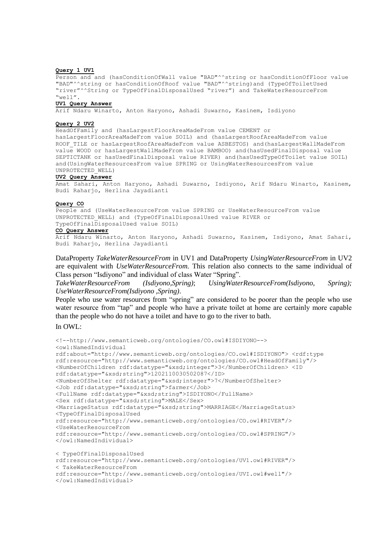#### **Query 1 UV1**

Person and and (hasConditionOfWall value "BAD"^^string or hasConditionOfFloor value "BAD"^^string or hasConditionOfRoof value "BAD"^^string)and (TypeOfToiletUsed "river"^^String or TypeOfFinalDisposalUsed "river") and TakeWaterResourceFrom "well".

#### **UV1 Query Answer**

Arif Ndaru Winarto, Anton Haryono, Ashadi Suwarno, Kasinem, Isdiyono

#### **Query 2 UV2**

HeadOfFamily and (hasLargestFloorAreaMadeFrom value CEMENT or hasLargestFloorAreaMadeFrom value SOIL) and (hasLargestRoofAreaMadeFrom value ROOF TILE or hasLargestRoofAreaMadeFrom value ASBESTOS) and(hasLargestWallMadeFrom value WOOD or hasLargestWallMadeFrom value BAMBOO) and(hasUsedFinalDisposal value SEPTICTANK or hasUsedFinalDisposal value RIVER) and(hasUsedTypeOfToilet value SOIL) and(UsingWaterResourcesFrom value SPRING or UsingWaterResourcesFrom value UNPROTECTED\_WELL)

#### **UV2 Query Answer**

Amat Sahari, Anton Haryono, Ashadi Suwarno, Isdiyono, Arif Ndaru Winarto, Kasinem, Budi Raharjo, Herlina Jayadianti

#### **Query CO**

People and (UseWaterResourceFrom value SPRING or UseWaterResourceFrom value UNPROTECTED\_WELL) and (TypeOfFinalDisposalUsed value RIVER or TypeOfFinalDisposalUsed value SOIL)

#### **CO Query Answer**

Arif Ndaru Winarto, Anton Haryono, Ashadi Suwarno, Kasinem, Isdiyono, Amat Sahari, Budi Raharjo, Herlina Jayadianti

DataProperty *TakeWaterResourceFrom* in UV1 and DataProperty *UsingWaterResourceFrom* in UV2 are equivalent with *UseWaterResourceFrom.* This relation also connects to the same individual of Class person "Isdiyono" and individual of class Water "Spring".

*TakeWaterResourceFrom (Isdiyono,Spring)*; *UsingWaterResourceFrom(Isdiyono, Spring); UseWaterResourceFrom(Isdiyono ,Spring)*.

People who use water resources from "spring" are considered to be poorer than the people who use water resource from "tap" and people who have a private toilet at home are certainly more capable than the people who do not have a toilet and have to go to the river to bath.

#### In OWL:

```
<!--http://www.semanticweb.org/ontologies/CO.owl#ISDIYONO--> 
<owl:NamedIndividual 
rdf:about="http://www.semanticweb.org/ontologies/CO.owl#ISDIYONO"> <rdf:type 
rdf:resource="http://www.semanticweb.org/ontologies/CO.owl#HeadOfFamily"/>
<NumberOfChildren rdf:datatype="&xsd;integer">3</NumberOfChildren> <ID 
rdf:datatype="&xsd;string">1202110030502087</ID>
<NumberOfShelter rdf:datatype="&xsd;integer">7</NumberOfShelter>
<Job rdf:datatype="&xsd;string">farmer</Job>
<FullName rdf:datatype="&xsd;string">ISDIYONO</FullName> 
<Sex rdf:datatype="&xsd;string">MALE</Sex>
<MarriageStatus rdf:datatype="&xsd;string">MARRIAGE</MarriageStatus>
<TypeOfFinalDisposalUsed 
rdf:resource="http://www.semanticweb.org/ontologies/CO.owl#RIVER"/>
<UseWaterResourceFrom 
rdf:resource="http://www.semanticweb.org/ontologies/CO.owl#SPRING"/>
</owl:NamedIndividual>
< TypeOfFinalDisposalUsed 
rdf:resource="http://www.semanticweb.org/ontologies/UV1.owl#RIVER"/>
< TakeWaterResourceFrom 
rdf:resource="http://www.semanticweb.org/ontologies/UVI.owl#well"/>
```

```
</owl:NamedIndividual>
```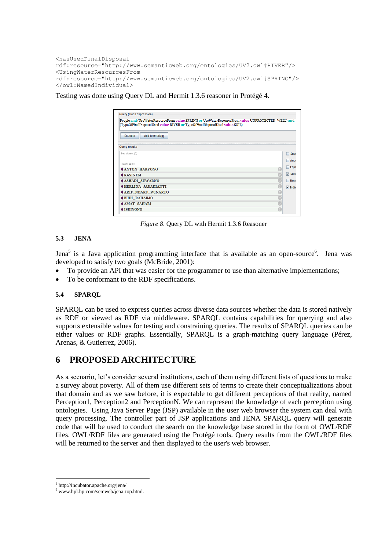```
<hasUsedFinalDisposal 
rdf:resource="http://www.semanticweb.org/ontologies/UV2.owl#RIVER"/>
<UsingWaterResourcesFrom 
rdf:resource="http://www.semanticweb.org/ontologies/UV2.owl#SPRING"/>
</owl:NamedIndividual>
```
Testing was done using Query DL and Hermit 1.3.6 reasoner in Protégé 4.

| People and (UseWaterResourceFrom value SPRING or UseWaterResourceFrom value UNPROTECTED_WELL) and<br>(TypeOfFinalDisposalUsed value RIVER or TypeOfFinalDisposalUsed value SOIL) |             |
|----------------------------------------------------------------------------------------------------------------------------------------------------------------------------------|-------------|
| <b>Add to ontology</b><br><b>Execute</b>                                                                                                                                         |             |
| <b>Query results</b>                                                                                                                                                             |             |
| Sub classes (0)                                                                                                                                                                  | $S$ upe     |
|                                                                                                                                                                                  | Ance        |
| Instances (8)                                                                                                                                                                    | Equi<br>m   |
| <b>ANTON_HARYONO</b>                                                                                                                                                             |             |
| $\triangle$ <b>KASINEM</b>                                                                                                                                                       | $V$ Subo    |
| ASHADI SUWARNO                                                                                                                                                                   |             |
| HERLINA JAYADIANTI                                                                                                                                                               | $ v $ Indiv |
| <b>ARIF NDARU WINARTO</b>                                                                                                                                                        |             |
| BUDI RAHARJO                                                                                                                                                                     |             |
| <b>NAMAT SAHARI</b>                                                                                                                                                              |             |
| $\blacklozenge$ ISDIYONO                                                                                                                                                         |             |

*Figure 8*. Query DL with Hermit 1.3.6 Reasoner

## **5.3 JENA**

Jena<sup>5</sup> is a Java application programming interface that is available as an open-source<sup>6</sup>. Jena was developed to satisfy two goals (McBride, 2001):

- To provide an API that was easier for the programmer to use than alternative implementations;
- To be conformant to the RDF specifications.

## **5.4 SPARQL**

SPARQL can be used to express queries across diverse data sources whether the data is stored natively as RDF or viewed as RDF via middleware. SPARQL contains capabilities for querying and also supports extensible values for testing and constraining queries. The results of SPARQL queries can be either values or RDF graphs. Essentially, SPARQL is a graph-matching query language (Pérez, Arenas, & Gutierrez, 2006).

## **6 PROPOSED ARCHITECTURE**

As a scenario, let's consider several institutions, each of them using different lists of questions to make a survey about poverty. All of them use different sets of terms to create their conceptualizations about that domain and as we saw before, it is expectable to get different perceptions of that reality, named Perception1, Perception2 and PerceptionN. We can represent the knowledge of each perception using ontologies. Using Java Server Page (JSP) available in the user web browser the system can deal with query processing. The controller part of JSP applications and JENA SPARQL query will generate code that will be used to conduct the search on the knowledge base stored in the form of OWL/RDF files. OWL/RDF files are generated using the Protégé tools. Query results from the OWL/RDF files will be returned to the server and then displayed to the user's web browser.

 $\overline{a}$ 

<sup>5</sup> http://incubator.apache.org/jena/

<sup>6</sup> www.hpl.hp.com/semweb/jena-top.html.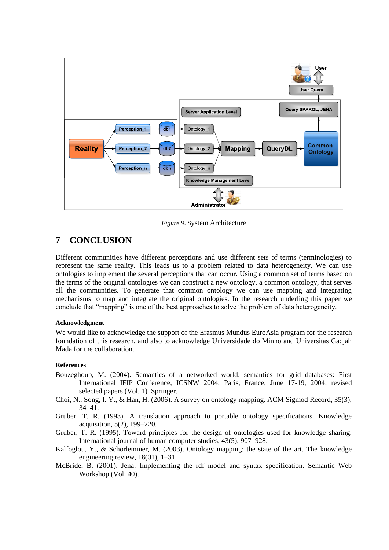

*Figure 9*. System Architecture

## **7 CONCLUSION**

Different communities have different perceptions and use different sets of terms (terminologies) to represent the same reality. This leads us to a problem related to data heterogeneity. We can use ontologies to implement the several perceptions that can occur. Using a common set of terms based on the terms of the original ontologies we can construct a new ontology, a common ontology, that serves all the communities. To generate that common ontology we can use mapping and integrating mechanisms to map and integrate the original ontologies. In the research underling this paper we conclude that "mapping" is one of the best approaches to solve the problem of data heterogeneity.

### **Acknowledgment**

We would like to acknowledge the support of the Erasmus Mundus EuroAsia program for the research foundation of this research, and also to acknowledge Universidade do Minho and Universitas Gadjah Mada for the collaboration.

### **References**

- Bouzeghoub, M. (2004). Semantics of a networked world: semantics for grid databases: First International IFIP Conference, ICSNW 2004, Paris, France, June 17-19, 2004: revised selected papers (Vol. 1). Springer.
- Choi, N., Song, I. Y., & Han, H. (2006). A survey on ontology mapping. ACM Sigmod Record, 35(3), 34–41.
- Gruber, T. R. (1993). A translation approach to portable ontology specifications. Knowledge acquisition, 5(2), 199–220.
- Gruber, T. R. (1995). Toward principles for the design of ontologies used for knowledge sharing. International journal of human computer studies, 43(5), 907–928.
- Kalfoglou, Y., & Schorlemmer, M. (2003). Ontology mapping: the state of the art. The knowledge engineering review, 18(01), 1–31.
- McBride, B. (2001). Jena: Implementing the rdf model and syntax specification. Semantic Web Workshop (Vol. 40).